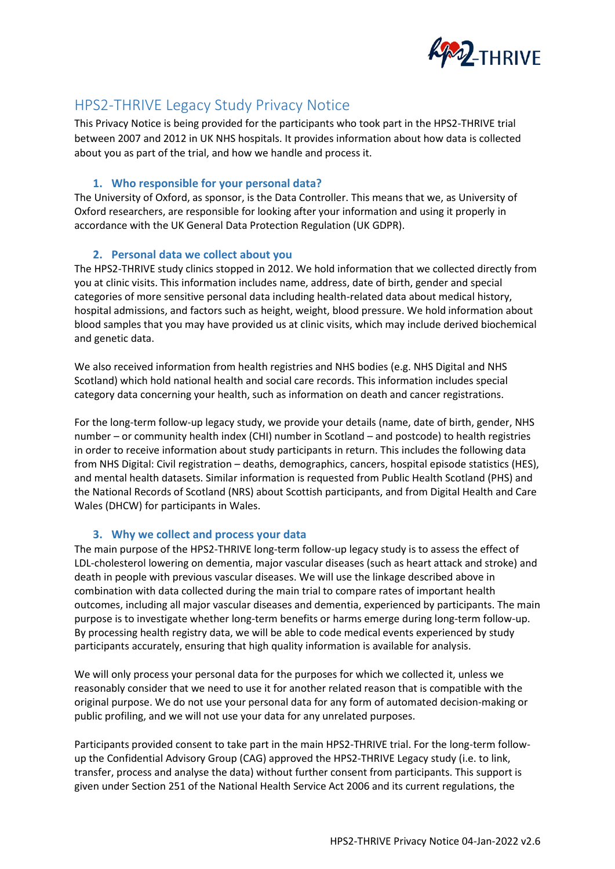

# HPS2-THRIVE Legacy Study Privacy Notice

This Privacy Notice is being provided for the participants who took part in the HPS2-THRIVE trial between 2007 and 2012 in UK NHS hospitals. It provides information about how data is collected about you as part of the trial, and how we handle and process it.

# **1. Who responsible for your personal data?**

The University of Oxford, as sponsor, is the Data Controller. This means that we, as University of Oxford researchers, are responsible for looking after your information and using it properly in accordance with the UK General Data Protection Regulation (UK GDPR).

# **2. Personal data we collect about you**

The HPS2-THRIVE study clinics stopped in 2012. We hold information that we collected directly from you at clinic visits. This information includes name, address, date of birth, gender and special categories of more sensitive personal data including health-related data about medical history, hospital admissions, and factors such as height, weight, blood pressure. We hold information about blood samples that you may have provided us at clinic visits, which may include derived biochemical and genetic data.

We also received information from health registries and NHS bodies (e.g. NHS Digital and NHS Scotland) which hold national health and social care records. This information includes special category data concerning your health, such as information on death and cancer registrations.

For the long-term follow-up legacy study, we provide your details (name, date of birth, gender, NHS number – or community health index (CHI) number in Scotland – and postcode) to health registries in order to receive information about study participants in return. This includes the following data from NHS Digital: Civil registration – deaths, demographics, cancers, hospital episode statistics (HES), and mental health datasets. Similar information is requested from Public Health Scotland (PHS) and the National Records of Scotland (NRS) about Scottish participants, and from Digital Health and Care Wales (DHCW) for participants in Wales.

# **3. Why we collect and process your data**

The main purpose of the HPS2-THRIVE long-term follow-up legacy study is to assess the effect of LDL-cholesterol lowering on dementia, major vascular diseases (such as heart attack and stroke) and death in people with previous vascular diseases. We will use the linkage described above in combination with data collected during the main trial to compare rates of important health outcomes, including all major vascular diseases and dementia, experienced by participants. The main purpose is to investigate whether long-term benefits or harms emerge during long-term follow-up. By processing health registry data, we will be able to code medical events experienced by study participants accurately, ensuring that high quality information is available for analysis.

We will only process your personal data for the purposes for which we collected it, unless we reasonably consider that we need to use it for another related reason that is compatible with the original purpose. We do not use your personal data for any form of automated decision-making or public profiling, and we will not use your data for any unrelated purposes.

Participants provided consent to take part in the main HPS2-THRIVE trial. For the long-term followup the Confidential Advisory Group (CAG) approved the HPS2-THRIVE Legacy study (i.e. to link, transfer, process and analyse the data) without further consent from participants. This support is given under Section 251 of the National Health Service Act 2006 and its current regulations, the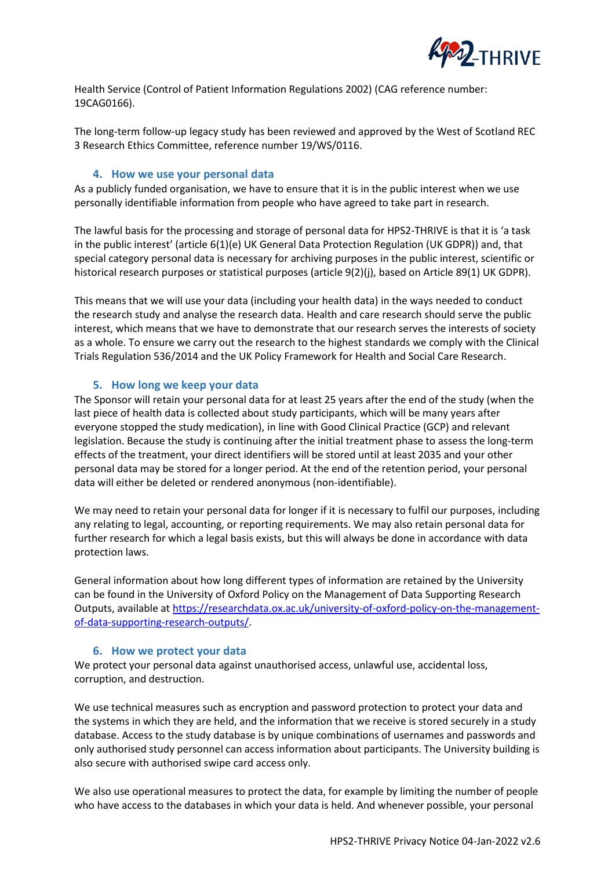

Health Service (Control of Patient Information Regulations 2002) (CAG reference number: 19CAG0166).

The long-term follow-up legacy study has been reviewed and approved by the West of Scotland REC 3 Research Ethics Committee, reference number 19/WS/0116.

## **4. How we use your personal data**

As a publicly funded organisation, we have to ensure that it is in the public interest when we use personally identifiable information from people who have agreed to take part in research.

The lawful basis for the processing and storage of personal data for HPS2-THRIVE is that it is 'a task in the public interest' (article 6(1)(e) UK General Data Protection Regulation (UK GDPR)) and, that special category personal data is necessary for archiving purposes in the public interest, scientific or historical research purposes or statistical purposes (article 9(2)(j), based on Article 89(1) UK GDPR).

This means that we will use your data (including your health data) in the ways needed to conduct the research study and analyse the research data. Health and care research should serve the public interest, which means that we have to demonstrate that our research serves the interests of society as a whole. To ensure we carry out the research to the highest standards we comply with the Clinical Trials Regulation 536/2014 and the UK Policy Framework for Health and Social Care Research.

## **5. How long we keep your data**

The Sponsor will retain your personal data for at least 25 years after the end of the study (when the last piece of health data is collected about study participants, which will be many years after everyone stopped the study medication), in line with Good Clinical Practice (GCP) and relevant legislation. Because the study is continuing after the initial treatment phase to assess the long-term effects of the treatment, your direct identifiers will be stored until at least 2035 and your other personal data may be stored for a longer period. At the end of the retention period, your personal data will either be deleted or rendered anonymous (non-identifiable).

We may need to retain your personal data for longer if it is necessary to fulfil our purposes, including any relating to legal, accounting, or reporting requirements. We may also retain personal data for further research for which a legal basis exists, but this will always be done in accordance with data protection laws.

General information about how long different types of information are retained by the University can be found in the University of Oxford Policy on the Management of Data Supporting Research Outputs, available at [https://researchdata.ox.ac.uk/university-of-oxford-policy-on-the-management](https://researchdata.ox.ac.uk/university-of-oxford-policy-on-the-management-of-data-supporting-research-outputs/)[of-data-supporting-research-outputs/.](https://researchdata.ox.ac.uk/university-of-oxford-policy-on-the-management-of-data-supporting-research-outputs/)

#### **6. How we protect your data**

We protect your personal data against unauthorised access, unlawful use, accidental loss, corruption, and destruction.

We use technical measures such as encryption and password protection to protect your data and the systems in which they are held, and the information that we receive is stored securely in a study database. Access to the study database is by unique combinations of usernames and passwords and only authorised study personnel can access information about participants. The University building is also secure with authorised swipe card access only.

We also use operational measures to protect the data, for example by limiting the number of people who have access to the databases in which your data is held. And whenever possible, your personal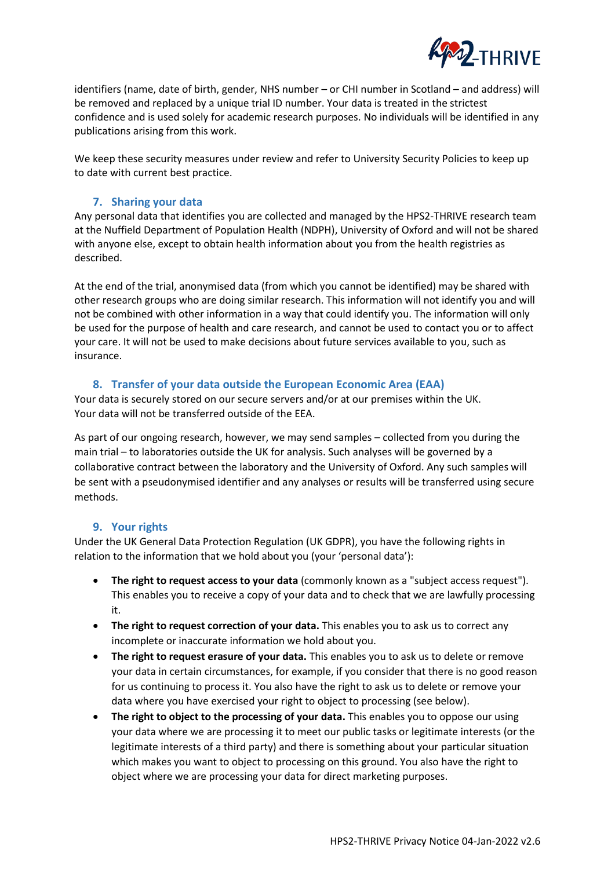

identifiers (name, date of birth, gender, NHS number – or CHI number in Scotland – and address) will be removed and replaced by a unique trial ID number. Your data is treated in the strictest confidence and is used solely for academic research purposes. No individuals will be identified in any publications arising from this work.

We keep these security measures under review and refer to University Security Policies to keep up to date with current best practice.

# **7. Sharing your data**

Any personal data that identifies you are collected and managed by the HPS2-THRIVE research team at the Nuffield Department of Population Health (NDPH), University of Oxford and will not be shared with anyone else, except to obtain health information about you from the health registries as described.

At the end of the trial, anonymised data (from which you cannot be identified) may be shared with other research groups who are doing similar research. This information will not identify you and will not be combined with other information in a way that could identify you. The information will only be used for the purpose of health and care research, and cannot be used to contact you or to affect your care. It will not be used to make decisions about future services available to you, such as insurance.

# **8. Transfer of your data outside the European Economic Area (EAA)**

Your data is securely stored on our secure servers and/or at our premises within the UK. Your data will not be transferred outside of the EEA.

As part of our ongoing research, however, we may send samples – collected from you during the main trial – to laboratories outside the UK for analysis. Such analyses will be governed by a collaborative contract between the laboratory and the University of Oxford. Any such samples will be sent with a pseudonymised identifier and any analyses or results will be transferred using secure methods.

## **9. Your rights**

Under the UK General Data Protection Regulation (UK GDPR), you have the following rights in relation to the information that we hold about you (your 'personal data'):

- **The right to request access to your data** (commonly known as a "subject access request"). This enables you to receive a copy of your data and to check that we are lawfully processing it.
- **The right to request correction of your data.** This enables you to ask us to correct any incomplete or inaccurate information we hold about you.
- **The right to request erasure of your data.** This enables you to ask us to delete or remove your data in certain circumstances, for example, if you consider that there is no good reason for us continuing to process it. You also have the right to ask us to delete or remove your data where you have exercised your right to object to processing (see below).
- **The right to object to the processing of your data.** This enables you to oppose our using your data where we are processing it to meet our public tasks or legitimate interests (or the legitimate interests of a third party) and there is something about your particular situation which makes you want to object to processing on this ground. You also have the right to object where we are processing your data for direct marketing purposes.